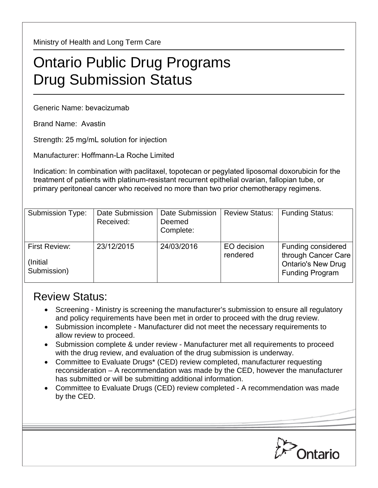Ministry of Health and Long Term Care

## Ontario Public Drug Programs Drug Submission Status

Generic Name: bevacizumab

Brand Name: Avastin

Strength: 25 mg/mL solution for injection

Manufacturer: Hoffmann-La Roche Limited

Indication: In combination with paclitaxel, topotecan or pegylated liposomal doxorubicin for the treatment of patients with platinum-resistant recurrent epithelial ovarian, fallopian tube, or primary peritoneal cancer who received no more than two prior chemotherapy regimens.

| <b>Submission Type:</b>                   | Date Submission<br>Received: | Date Submission<br>Deemed<br>Complete: | <b>Review Status:</b>   | <b>Funding Status:</b>                                                                           |
|-------------------------------------------|------------------------------|----------------------------------------|-------------------------|--------------------------------------------------------------------------------------------------|
| First Review:<br>(Initial)<br>Submission) | 23/12/2015                   | 24/03/2016                             | EO decision<br>rendered | Funding considered<br>through Cancer Care<br><b>Ontario's New Drug</b><br><b>Funding Program</b> |

## Review Status:

- Screening Ministry is screening the manufacturer's submission to ensure all regulatory and policy requirements have been met in order to proceed with the drug review.
- Submission incomplete Manufacturer did not meet the necessary requirements to allow review to proceed.
- Submission complete & under review Manufacturer met all requirements to proceed with the drug review, and evaluation of the drug submission is underway.
- Committee to Evaluate Drugs\* (CED) review completed, manufacturer requesting reconsideration – A recommendation was made by the CED, however the manufacturer has submitted or will be submitting additional information.
- Committee to Evaluate Drugs (CED) review completed A recommendation was made by the CED.